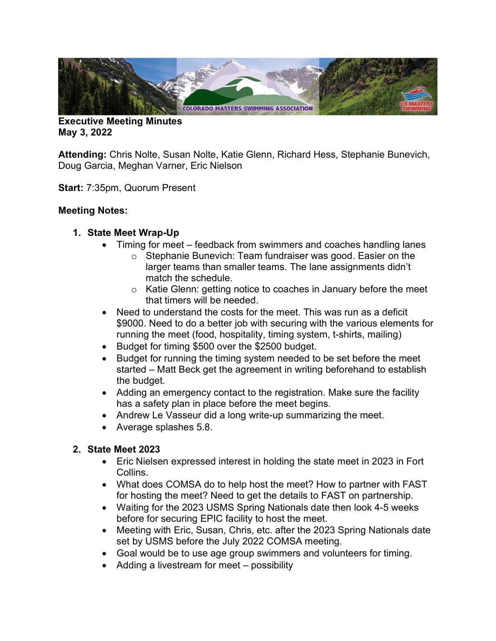

Executive Meeting Minutes May 3, 2022

Attending: Chris Nolte, Susan Nolte, Katie Glenn, Richard Hess, Stephanie Bunevich, Doug Garcia, Meghan Varner, Eric Nielson

Start: 7:35pm, Quorum Present

## Meeting Notes:

## 1. State Meet Wrap-Up

- Timing for meet feedback from swimmers and coaches handling lanes
	- o Stephanie Bunevich: Team fundraiser was good. Easier on the larger teams than smaller teams. The lane assignments didn't match the schedule.
	- o Katie Glenn: getting notice to coaches in January before the meet that timers will be needed.
- Need to understand the costs for the meet. This was run as a deficit \$9000. Need to do a better job with securing with the various elements for running the meet (food, hospitality, timing system, t-shirts, mailing)
- Budget for timing \$500 over the \$2500 budget.
- Budget for running the timing system needed to be set before the meet started – Matt Beck get the agreement in writing beforehand to establish the budget.
- Adding an emergency contact to the registration. Make sure the facility has a safety plan in place before the meet begins.
- Andrew Le Vasseur did a long write-up summarizing the meet.
- Average splashes 5.8.

# 2. State Meet 2023

- Eric Nielsen expressed interest in holding the state meet in 2023 in Fort Collins.
- What does COMSA do to help host the meet? How to partner with FAST for hosting the meet? Need to get the details to FAST on partnership.
- Waiting for the 2023 USMS Spring Nationals date then look 4-5 weeks before for securing EPIC facility to host the meet.
- Meeting with Eric, Susan, Chris, etc. after the 2023 Spring Nationals date set by USMS before the July 2022 COMSA meeting.
- Goal would be to use age group swimmers and volunteers for timing.
- Adding a livestream for meet possibility